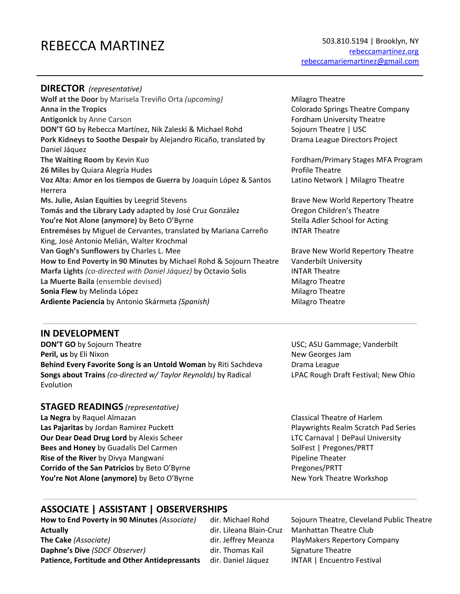# REBECCA MARTINEZ

### 503.810.5194 | Brooklyn, NY [rebeccamartinez.org](http://www.rebeccamartinez.org/) [rebeccamariemartinez@gmail.com](mailto:rebeccamariemartinez@gmail.com)

### **DIRECTOR** *(representative)*

| Wolf at the Door by Marisela Treviño Orta (upcoming)               | Milagro Theatre                          |
|--------------------------------------------------------------------|------------------------------------------|
| <b>Anna in the Tropics</b>                                         | <b>Colorado Springs Theatre Company</b>  |
| <b>Antigonick by Anne Carson</b>                                   | <b>Fordham University Theatre</b>        |
| DON'T GO by Rebecca Martínez, Nik Zaleski & Michael Rohd           | Sojourn Theatre   USC                    |
| Pork Kidneys to Soothe Despair by Alejandro Ricaño, translated by  | Drama League Directors Project           |
| Daniel Jáquez                                                      |                                          |
| The Waiting Room by Kevin Kuo                                      | Fordham/Primary Stages MFA Program       |
| 26 Miles by Quiara Alegría Hudes                                   | <b>Profile Theatre</b>                   |
| Voz Alta: Amor en los tiempos de Guerra by Joaquín López & Santos  | Latino Network   Milagro Theatre         |
| Herrera                                                            |                                          |
| Ms. Julie, Asian Equities by Leegrid Stevens                       | Brave New World Repertory Theatre        |
| Tomás and the Library Lady adapted by José Cruz González           | Oregon Children's Theatre                |
| You're Not Alone (anymore) by Beto O'Byrne                         | Stella Adler School for Acting           |
| Entreméses by Miguel de Cervantes, translated by Mariana Carreño   | <b>INTAR Theatre</b>                     |
| King, José Antonio Melián, Walter Krochmal                         |                                          |
| Van Gogh's Sunflowers by Charles L. Mee                            | <b>Brave New World Repertory Theatre</b> |
| How to End Poverty in 90 Minutes by Michael Rohd & Sojourn Theatre | Vanderbilt University                    |
| Marfa Lights (co-directed with Daniel Jáquez) by Octavio Solis     | <b>INTAR Theatre</b>                     |
| La Muerte Baila (ensemble devised)                                 | Milagro Theatre                          |
| Sonia Flew by Melinda López                                        | Milagro Theatre                          |
| Ardiente Paciencia by Antonio Skármeta (Spanish)                   | Milagro Theatre                          |
|                                                                    |                                          |

### **IN DEVELOPMENT**

**DON'T GO** by Sojourn Theatre **Vanderbilt USC**; ASU Gammage; Vanderbilt **Peril, us** by Eli Nixon New Georges Jam **Behind Every Favorite Song is an Untold Woman** by Riti Sachdeva Drama League **Songs about Trains** *(co-directed w/ Taylor Reynolds)* by Radical Evolution

### **STAGED READINGS** *(representative)*

**La Negra** by Raquel Almazan **Classical Theatre of Harlem** Classical Theatre of Harlem **Las Pajaritas** by Jordan Ramirez Puckett **Pataca Access Pagarity Realm Scratch Pad Series** Playwrights Realm Scratch Pad Series **Our Dear Dead Drug Lord** by Alexis Scheer LTC Carnaval | DePaul University **Bees and Honey** by Guadalís Del Carmen SolFest | Pregones/PRTT **Rise of the River** by Divya Mangwani **Pipeline Theater** Pipeline Theater **Corrido of the San Patricios** by Beto O'Byrne **Pressure Pregones/PRTT You're Not Alone (anymore)** by Beto O'Byrne New York Theatre Workshop

## **ASSOCIATE | ASSISTANT | OBSERVERSHIPS**

**How to End Poverty in 90 Minutes** *(Associate)* dir. Michael Rohd Sojourn Theatre, Cleveland Public Theatre **Actually** dir. Lileana Blain-Cruz Manhattan Theatre Club **The Cake** *(Associate)* dir. Jeffrey Meanza PlayMakers Repertory Company **Daphne's Dive** *(SDCF Observer)* dir. Thomas Kail Signature Theatre **Patience, Fortitude and Other Antidepressants** dir. Daniel Jáquez INTAR | Encuentro Festival

LPAC Rough Draft Festival; New Ohio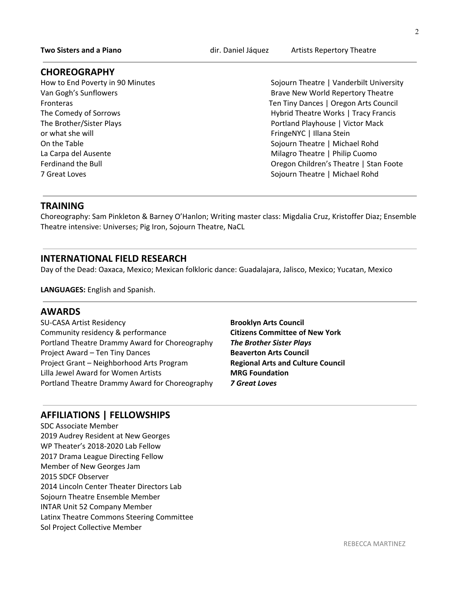**Two Sisters and a Piano dir.** Daniel Jáquez Artists Repertory Theatre

### **CHOREOGRAPHY**

How to End Poverty in 90 Minutes Note 2008 Sojourn Theatre | Vanderbilt University The Brother/Sister Plays Portland Playhouse | Victor Mack or what she will **FringeNYC** | Illana Stein On the Table Sojourn Theatre | Michael Rohd La Carpa del Ausente **Milagro Theatre | Philip Cuomo** 7 Great Loves **Solution Community** Contract Community Community Community Community Community Community Community

Van Gogh's Sunflowers **Brave Lines and Strategies and Strate** Brave New World Repertory Theatre Fronteras Ten Tiny Dances | Oregon Arts Council The Comedy of Sorrows The Comedy of Sorrows Hybrid Theatre Works | Tracy Francis Ferdinand the Bull **France Controller Controller Controller** Controller Controller Controller Controller Controller Controller Controller Controller Controller Controller Controller Controller Controller Controller Control

### **TRAINING**

Choreography: Sam Pinkleton & Barney O'Hanlon; Writing master class: Migdalia Cruz, Kristoffer Diaz; Ensemble Theatre intensive: Universes; Pig Iron, Sojourn Theatre, NaCL

### **INTERNATIONAL FIELD RESEARCH**

Day of the Dead: Oaxaca, Mexico; Mexican folkloric dance: Guadalajara, Jalisco, Mexico; Yucatan, Mexico

**LANGUAGES:** English and Spanish.

### **AWARDS**

SU-CASA Artist Residency **Brooklyn Arts Council** Community residency & performance **Citizens Committee of New York** Portland Theatre Drammy Award for Choreography *The Brother Sister Plays* Project Award – Ten Tiny Dances **Beaverton Arts Council** Project Grant – Neighborhood Arts Program **Regional Arts and Culture Council** Lilla Jewel Award for Women Artists **MRG Foundation** Portland Theatre Drammy Award for Choreography *7 Great Loves*

**AFFILIATIONS | FELLOWSHIPS**

SDC Associate Member 2019 Audrey Resident at New Georges WP Theater's 2018-2020 Lab Fellow 2017 Drama League Directing Fellow Member of New Georges Jam 2015 SDCF Observer 2014 Lincoln Center Theater Directors Lab Sojourn Theatre Ensemble Member INTAR Unit 52 Company Member Latinx Theatre Commons Steering Committee Sol Project Collective Member

2